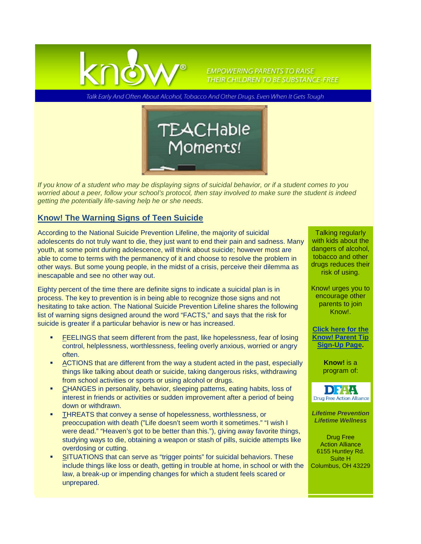

**EMPOWERING PARENTS TO RAISE** THEIR CHILDREN TO BE SUBSTANCE-FREE

Talk Early And Often About Alcohol, Tobacco And Other Drugs. Even When It Gets Tough



*If you know of a student who may be displaying signs of suicidal behavior, or if a student comes to you worried about a peer, follow your school's protocol, then stay involved to make sure the student is indeed getting the potentially life-saving help he or she needs.*

## **Know! The Warning Signs of Teen Suicide**

According to the National Suicide Prevention Lifeline, the majority of suicidal adolescents do not truly want to die, they just want to end their pain and sadness. Many youth, at some point during adolescence, will think about suicide; however most are able to come to terms with the permanency of it and choose to resolve the problem in other ways. But some young people, in the midst of a crisis, perceive their dilemma as inescapable and see no other way out.

Eighty percent of the time there are definite signs to indicate a suicidal plan is in process. The key to prevention is in being able to recognize those signs and not hesitating to take action. The National Suicide Prevention Lifeline shares the following list of warning signs designed around the word "FACTS," and says that the risk for suicide is greater if a particular behavior is new or has increased.

- FEELINGS that seem different from the past, like hopelessness, fear of losing control, helplessness, worthlessness, feeling overly anxious, worried or angry often.
- ACTIONS that are different from the way a student acted in the past, especially things like talking about death or suicide, taking dangerous risks, withdrawing from school activities or sports or using alcohol or drugs.
- CHANGES in personality, behavior, sleeping patterns, eating habits, loss of interest in friends or activities or sudden improvement after a period of being down or withdrawn.
- THREATS that convey a sense of hopelessness, worthlessness, or preoccupation with death ("Life doesn't seem worth it sometimes." "I wish I were dead." "Heaven's got to be better than this."), giving away favorite things, studying ways to die, obtaining a weapon or stash of pills, suicide attempts like overdosing or cutting.
- SITUATIONS that can serve as "trigger points" for suicidal behaviors. These include things like loss or death, getting in trouble at home, in school or with the law, a break-up or impending changes for which a student feels scared or unprepared.

Talking regularly with kids about the dangers of alcohol, tobacco and other drugs reduces their risk of using.

Know! urges you to encourage other parents to join Know!.

**[Click here for the](http://www.drugfreeactionalliance.org/know/parent-tip-sign-up)  [Know! Parent Tip](http://www.drugfreeactionalliance.org/know/parent-tip-sign-up)  [Sign-Up Page.](http://www.drugfreeactionalliance.org/know/parent-tip-sign-up)** 

> **Know!** is a program of:



*Lifetime Prevention Lifetime Wellness*

Drug Free Action Alliance 6155 Huntley Rd. Suite H Columbus, OH 43229